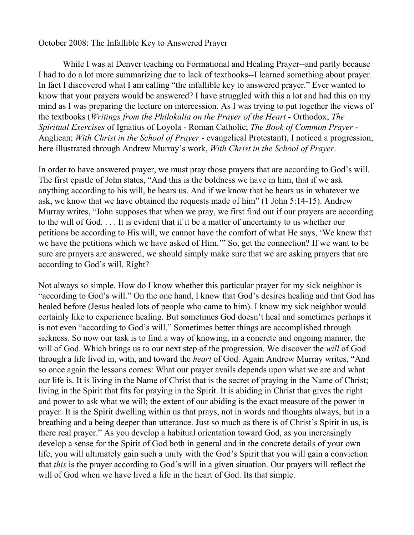## October 2008: The Infallible Key to Answered Prayer

While I was at Denver teaching on Formational and Healing Prayer--and partly because I had to do a lot more summarizing due to lack of textbooks--I learned something about prayer. In fact I discovered what I am calling "the infallible key to answered prayer." Ever wanted to know that your prayers would be answered? I have struggled with this a lot and had this on my mind as I was preparing the lecture on intercession. As I was trying to put together the views of the textbooks (*Writings from the Philokalia on the Prayer of the Heart* - Orthodox; *The Spiritual Exercises* of Ignatius of Loyola - Roman Catholic; *The Book of Common Prayer* - Anglican; *With Christ in the School of Prayer* - evangelical Protestant), I noticed a progression, here illustrated through Andrew Murray's work, *With Christ in the School of Prayer*.

In order to have answered prayer, we must pray those prayers that are according to God's will. The first epistle of John states, "And this is the boldness we have in him, that if we ask anything according to his will, he hears us. And if we know that he hears us in whatever we ask, we know that we have obtained the requests made of him" (1 John 5:14-15). Andrew Murray writes, "John supposes that when we pray, we first find out if our prayers are according to the will of God. . . . It is evident that if it be a matter of uncertainty to us whether our petitions be according to His will, we cannot have the comfort of what He says, 'We know that we have the petitions which we have asked of Him.'" So, get the connection? If we want to be sure are prayers are answered, we should simply make sure that we are asking prayers that are according to God's will. Right?

Not always so simple. How do I know whether this particular prayer for my sick neighbor is "according to God's will." On the one hand, I know that God's desires healing and that God has healed before (Jesus healed lots of people who came to him). I know my sick neighbor would certainly like to experience healing. But sometimes God doesn't heal and sometimes perhaps it is not even "according to God's will." Sometimes better things are accomplished through sickness. So now our task is to find a way of knowing, in a concrete and ongoing manner, the will of God. Which brings us to our next step of the progression. We discover the *will* of God through a life lived in, with, and toward the *heart* of God. Again Andrew Murray writes, "And so once again the lessons comes: What our prayer avails depends upon what we are and what our life is. It is living in the Name of Christ that is the secret of praying in the Name of Christ; living in the Spirit that fits for praying in the Spirit. It is abiding in Christ that gives the right and power to ask what we will; the extent of our abiding is the exact measure of the power in prayer. It is the Spirit dwelling within us that prays, not in words and thoughts always, but in a breathing and a being deeper than utterance. Just so much as there is of Christ's Spirit in us, is there real prayer." As you develop a habitual orientation toward God, as you increasingly develop a sense for the Spirit of God both in general and in the concrete details of your own life, you will ultimately gain such a unity with the God's Spirit that you will gain a conviction that *this* is the prayer according to God's will in a given situation. Our prayers will reflect the will of God when we have lived a life in the heart of God. Its that simple.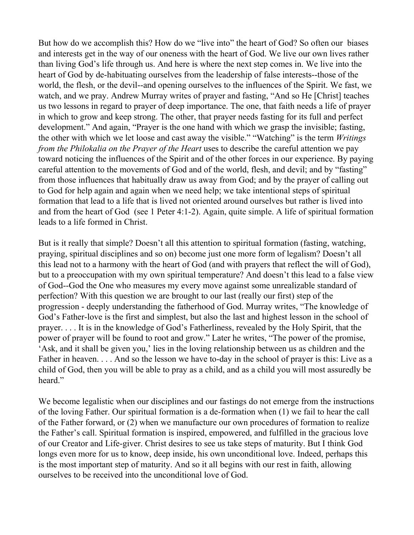But how do we accomplish this? How do we "live into" the heart of God? So often our biases and interests get in the way of our oneness with the heart of God. We live our own lives rather than living God's life through us. And here is where the next step comes in. We live into the heart of God by de-habituating ourselves from the leadership of false interests--those of the world, the flesh, or the devil--and opening ourselves to the influences of the Spirit. We fast, we watch, and we pray. Andrew Murray writes of prayer and fasting, "And so He [Christ] teaches us two lessons in regard to prayer of deep importance. The one, that faith needs a life of prayer in which to grow and keep strong. The other, that prayer needs fasting for its full and perfect development." And again, "Prayer is the one hand with which we grasp the invisible; fasting, the other with which we let loose and cast away the visible." "Watching" is the term *Writings from the Philokalia on the Prayer of the Heart* uses to describe the careful attention we pay toward noticing the influences of the Spirit and of the other forces in our experience. By paying careful attention to the movements of God and of the world, flesh, and devil; and by "fasting" from those influences that habitually draw us away from God; and by the prayer of calling out to God for help again and again when we need help; we take intentional steps of spiritual formation that lead to a life that is lived not oriented around ourselves but rather is lived into and from the heart of God (see 1 Peter 4:1-2). Again, quite simple. A life of spiritual formation leads to a life formed in Christ.

But is it really that simple? Doesn't all this attention to spiritual formation (fasting, watching, praying, spiritual disciplines and so on) become just one more form of legalism? Doesn't all this lead not to a harmony with the heart of God (and with prayers that reflect the will of God), but to a preoccupation with my own spiritual temperature? And doesn't this lead to a false view of God--God the One who measures my every move against some unrealizable standard of perfection? With this question we are brought to our last (really our first) step of the progression - deeply understanding the fatherhood of God. Murray writes, "The knowledge of God's Father-love is the first and simplest, but also the last and highest lesson in the school of prayer. . . . It is in the knowledge of God's Fatherliness, revealed by the Holy Spirit, that the power of prayer will be found to root and grow." Later he writes, "The power of the promise, 'Ask, and it shall be given you,' lies in the loving relationship between us as children and the Father in heaven. . . . And so the lesson we have to-day in the school of prayer is this: Live as a child of God, then you will be able to pray as a child, and as a child you will most assuredly be heard."

We become legalistic when our disciplines and our fastings do not emerge from the instructions of the loving Father. Our spiritual formation is a de-formation when (1) we fail to hear the call of the Father forward, or (2) when we manufacture our own procedures of formation to realize the Father's call. Spiritual formation is inspired, empowered, and fulfilled in the gracious love of our Creator and Life-giver. Christ desires to see us take steps of maturity. But I think God longs even more for us to know, deep inside, his own unconditional love. Indeed, perhaps this is the most important step of maturity. And so it all begins with our rest in faith, allowing ourselves to be received into the unconditional love of God.